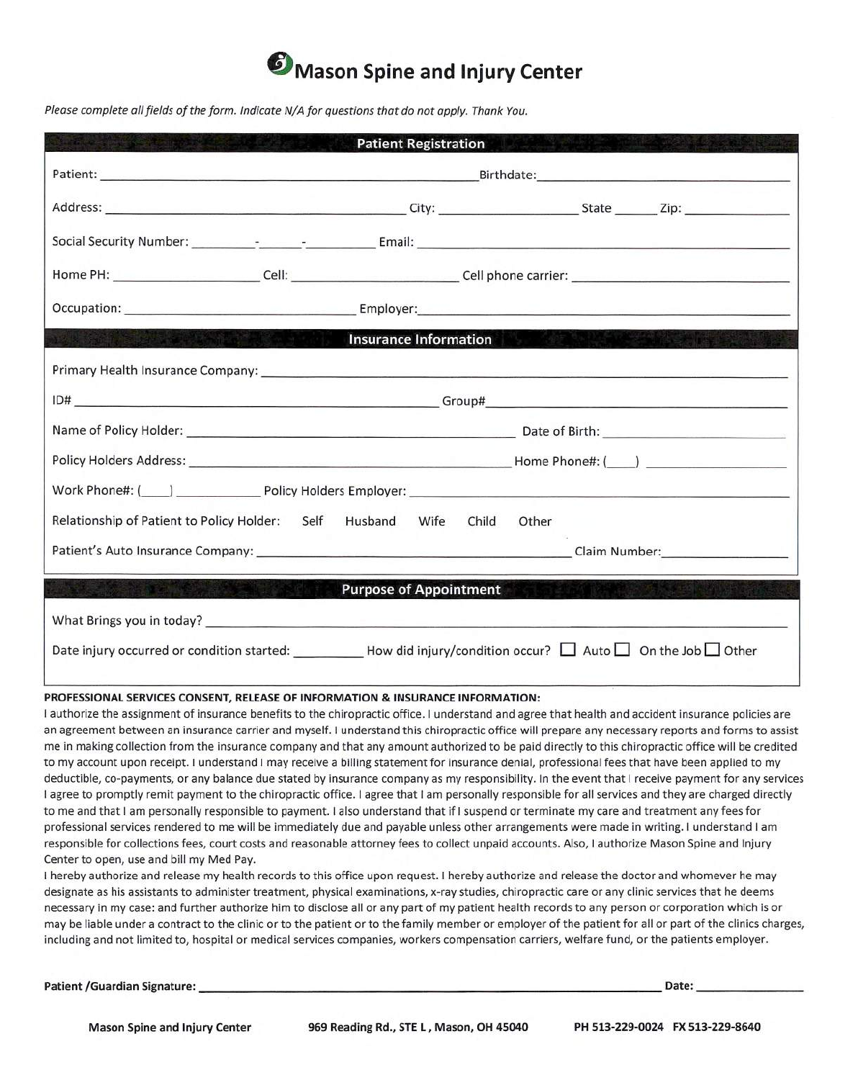

Please complete all fields of the form. Indicate N/A for questions that do not apply. Thank You.

| <b>Patient Registration</b><br><u>illum ann</u>                                                                                                                                                                                |
|--------------------------------------------------------------------------------------------------------------------------------------------------------------------------------------------------------------------------------|
|                                                                                                                                                                                                                                |
|                                                                                                                                                                                                                                |
|                                                                                                                                                                                                                                |
| Home PH: ___________________________Cell: ________________________Cell phone carrier: _______________________________                                                                                                          |
| Occupation: Employer: Employer: Employer:                                                                                                                                                                                      |
| <b>Insurance Information Account of the Contract of Account Account Contract of Account Account Contract of Account</b><br><b>REAL PROPERTY</b>                                                                                |
|                                                                                                                                                                                                                                |
|                                                                                                                                                                                                                                |
|                                                                                                                                                                                                                                |
|                                                                                                                                                                                                                                |
|                                                                                                                                                                                                                                |
| Relationship of Patient to Policy Holder: Self Husband Wife<br>Child<br>Other                                                                                                                                                  |
|                                                                                                                                                                                                                                |
| <b>Purpose of Appointment</b>                                                                                                                                                                                                  |
| What Brings you in today? Notified that the control of the control of the control of the control of the control of the control of the control of the control of the control of the control of the control of the control of th |
| Date injury occurred or condition started: How did injury/condition occur? $\Box$ Auto $\Box$ On the Job $\Box$ Other                                                                                                          |

### **PROFESSIONAL SERVICES CONSENT, RELEASE OF INFORMATION & INSURANCE INFORMATION:**

I authorize the assignment of insurance benefits to the chiropractic office. I understand and agree that health and accident insurance policies are an agreement between an insurance carrier and myself. I understand this chiropractic office will prepare any necessary reports and forms to assist me in making collection from the insurance company and that any amount authorized to be paid directly to this chiropractic office will be credited to my account upon receipt. I understand I may receive a billing statement for insurance denial, professional fees that have been applied to my deductible, co-payments, or any balance due stated by insurance company as my responsibility. In the event that I receive payment for any services I agree to promptly remit payment to the chiropractic office. I agree that I am personally responsible for all services and they are charged directly to me and that I am personally responsible to payment. I also understand that if I suspend or terminate my care and treatment any fees for professional services rendered to me will be immediately due and payable unless other arrangements were made in writing. I understand I am responsible for collections fees, court costs and reasonable attorney fees to collect unpaid accounts. Also, I authorize Mason Spine and Injury Center to open, use and bill my Med Pay.

I hereby authorize and release my health records to this office upon request. I hereby authorize and release the doctor and whomever he may designate as his assistants to administer treatment, physical examinations, x-ray studies, chiropractic care or any clinic services that he deems necessary in my case: and further authorize him to disclose all or any part of my patient health records to any person or corporation which is or may be liable under a contract to the clinic or to the patient or to the family member or employer of the patient for all or part of the clinics charges, including and not limited to, hospital or medical services companies, workers compensation carriers, welfare fund, or the patients employer.

Patient /Guardian Signature: **Date: Date: Patient /Guardian Signature: Date: Date: Date: Date: Date: Date: Date: Date: Date: Date: Date: Date: Date: Date: Date: Date: Date: Date: D**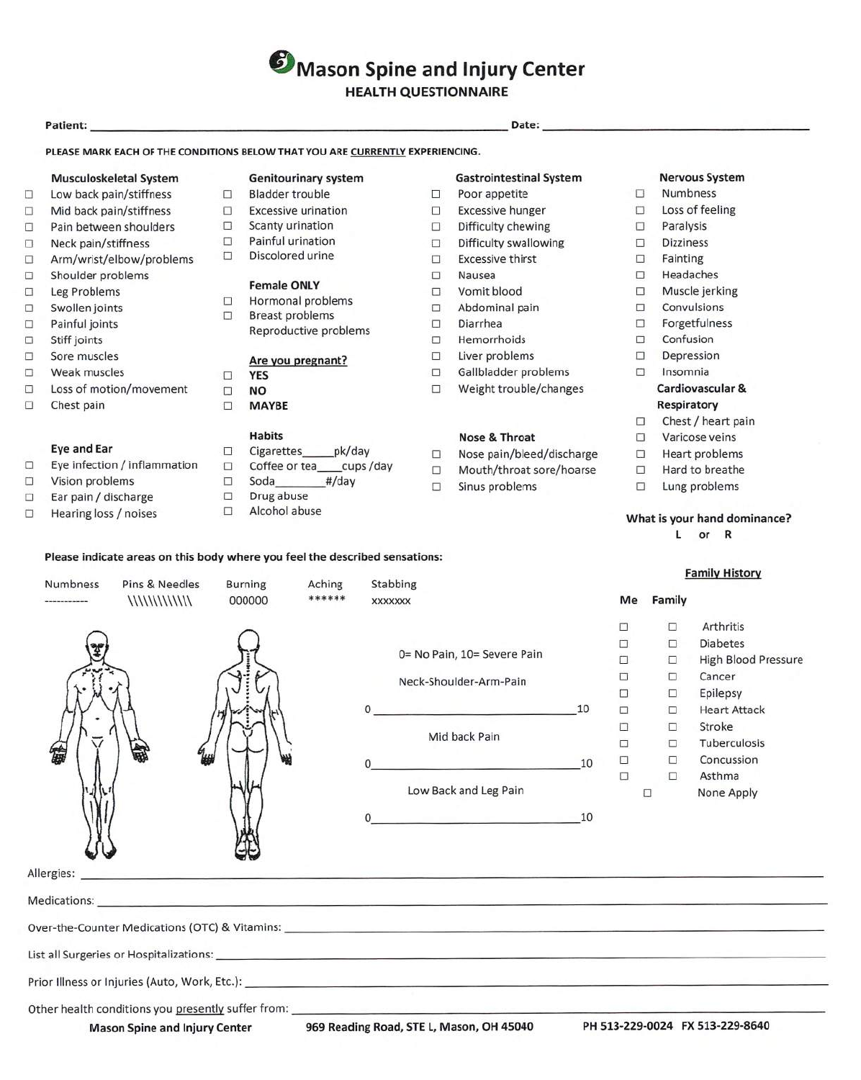**D**Mason Spine and Injury Center

**HEALTH QUESTIONNAIRE** 

# **Patient: Date:**

## **PLEASE MARK EACH OF THE CONDITIONS BELOW THAT YOU ARE CURRENTLY EXPERIENCING.**

- U Low back pain/stiffness U Bladder trouble U Poor appetite U Numbness
- $\Box$  Mid back pain/stiffness  $\Box$  Excessive urination  $\Box$  Excessive hunger  $\Box$  Loss of feeling
- U Pain between shoulders U Scanty urination U Difficulty chewing U Paralysis
- 
- $\Box$  Arm/wrist/elbow/problems  $\Box$  Discolored urine  $\Box$  Excessive thirst  $\Box$  Fainting
- U Shoulder problems U Nausea U Headaches
- 
- 
- 
- 
- 
- 
- U Sore muscles **Are you pregnant?**<br>

U UNES DES<br>
U Weak muscles DES TO Cardiovascular &<br>
U Cardiovascular & U Unit U Weight trouble/changes Cardiovascular & U Loss of motion/movement U **NO** U Weight trouble/changes **Cardiovascular** &
- □ Chest pain □ **MAYBE Respiratory**

- 
- $\Box$  Vision problems  $\Box$  Soda #/day  $\Box$  Sinus problems  $\Box$  Lung problems
- 
- $\Box$  Ear pain / discharge  $\Box$  Drug abuse<br>  $\Box$  Hearing loss / noises  $\Box$  Alcohol abuse

- 
- 
- 
- 
- 

- U CONTROLLECTIONS<br>
U Hormonal problems U Abdominal pain U Convulsions
	- U Breast problems
- $\Box$  Painful joints  $\Box$  Breast problems  $\Box$  Diarrhea  $\Box$  Forgetfulness U Stiff joints U Hemorrhoids U Confusion

- 
- 
- 

- 
- 
- 
- 
- 
- 

# **Musculoskeletal System Genitourinary system Gastrointestinal System Nervous System**

- 
- 
- 
- 
- $\Box$  Neck pain/stiffness  $\Box$  Painful urination  $\Box$  Difficulty swallowing  $\Box$  Dizziness
	-
	-
	-
	-
	-
	-
- U Sore muscles **Are you pregnant?** U Liver problems U Depression
	-
	-

- **Habits Nose & Throat U** Varicose veins<br>
Cigarettes **pk/day** 
□ Nose pain/bleed/discharge □ Heart problem **Eye and Ear**  $\Box$  Cigarettes pk/day  $\Box$  Nose pain/bleed/discharge  $\Box$  Heart problems<br>Eye infection / inflammation  $\Box$  Coffee or tea cups /day  $\Box$  Mouth /throat org/boarge  $\Box$  Hard to broathe
- $\Box$  Eye infection / inflammation  $\Box$  Coffee or tea\_\_\_cups /day  $\Box$  Mouth/throat sore/hoarse  $\Box$  Hard to breathe
	-

- 
- 
- 
- 
- -
- U Leg Problems **Female ONLY C** Vomit blood D Muscle jerking
	-
	-
	-
	- -

- □ Chest / heart pain
- -
	-
	-

# U Hearing loss / noises □ Divisionsed abuse<br>
□ Hearing loss / noises □ Alcohol abuse **What is your hand dominance?**<br> **I** or R

**Family History**  Numbness Pins & Needles Burning Aching Stabbing 000000 \*\*\*\*\*\* xxxxxxx **Me Family**  ------- $\|\|\|\|\|\|\|\|\|\|\|\|\|\|$  $\Box$   $\Box$ Arthritis  $\Box$ Diabetes 0= No Pain, 10= Severe Pain  $\Box$   $\Box$ High Blood Pressure  $\Box \qquad \Box$ Cancer Neck-Shoulder-Arm-Pain  $\Box$ Epilepsy 10  $\mathbf{O}$  $\Box \qquad \Box$ Heart Attack  $\Box \qquad \Box$ Stroke Mid back Pain U U Tuberculosis 10  $\Box$ Concussion 0  $\Box$ Asthma Low Back and Leg Pain  $\Box$ None Apply 0 10

Allergies:

Medications:

Over-the-Counter Medications (OTC) & Vitamins:

List all Surgeries or Hospitalizations: List all Surgeries or Hospitalizations:

Prior Illness or Injuries (Auto, Work, Etc.):

Other health conditions you presently suffer from:

**Please indicate areas on this body where you feel the described sensations:**